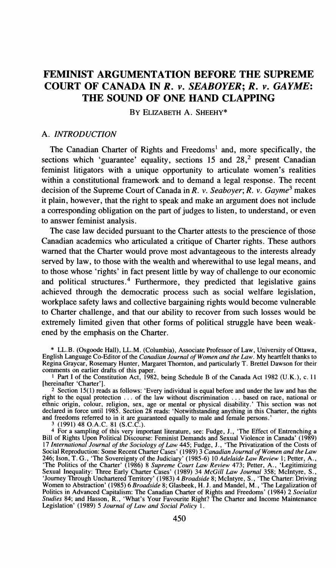# **FEMINIST ARGUMENTATION BEFORE THE SUPREME COURT OF CANADA IN** *R.* **v.** *SEABOYER; R.* **v.** *GAYME:*  **THE SOUND OF ONE HAND CLAPPING**

BY ELIZABETH **A.** SHEEHY\*

#### *A. INTRODUCTION*

The Canadian Charter of Rights and Freedoms<sup>1</sup> and, more specifically, the sections which 'guarantee' equality, sections 15 and 28<sup>2</sup> present Canadian feminist litigators with a unique opportunity to articulate women's realities within a constitutional framework and to demand a legal response. The recent decision of the Supreme Court of Canada in R. v. Seaboyer; R. v. Gayme<sup>3</sup> makes it plain, however, that the right to speak and make an argument does not include a corresponding obligation on the part of judges to listen, to understand, or even to answer feminist analysis.

The case law decided pursuant to the Charter attests to the prescience of those Canadian academics who articulated a critique of Charter rights. These authors warned that the Charter would prove most advantageous to the interests already served by law, to those with the wealth and wherewithal to use legal means, and to those whose 'rights' in fact present little by way of challenge to our economic and political structures.<sup>4</sup> Furthermore, they predicted that legislative gains achieved through the democratic process such as social welfare legislation, workplace safety laws and collective bargaining rights would become vulnerable to Charter challenge, and that our ability to recover from such losses would be extremely limited given that other forms of political struggle have been weakened by the emphasis on the Charter.

\* LL.B. (Osgoode Hall), LL.M. (Columbia), Associate Professor of Law, University of Ottawa, English Language Co-Editor of the *Canadian Journal of Women and the Law.* My heartfelt thanks to Regina Graycar, Rosemary Hunter, Margaret Thornton, and particularly T. Brettel Dawson for their comments on earlier drafts of this paper.

**<sup>1</sup>**Part I of the Constitution Act, 1982, being Schedule B of the Canada Act 1982 (U.K.), c. 11 [hereinafter 'Charter'].

<sup>2</sup> Section 15(1) reads as follows: 'Every individual is equal before and under the law and has the right to the equal protection ... of the law without discrimination ... based on race, national or ethnic origin, colour,

<sup>4</sup> For a sampling of this very important literature, see: Fudge, J., 'The Effect of Entrenching a Bill of Rights Upon Political Discourse: Feminist Demands and Sexual Violence in Canada' (1989) 17 International Journal of Social Reproduction: Some Recent Charter Cases' (1989) 3 Canadian Journal of Women and the Law 246; Ison, T. G., 'The Sovereignty of the Judiciary' (1985-6) 10 Adelaide Law Review 1; Petter, A., 'The Politics of the Charte Politics in Advanced Capitalism: The Canadian Charter of Rights and Freedoms' (1984) 2 *Socialist*<br>*Studies* 84; and Hasson, R., 'What's Your Favourite Right? The Charter and Income Maintenance<br>Legislation' (1989) 5 J*ourn*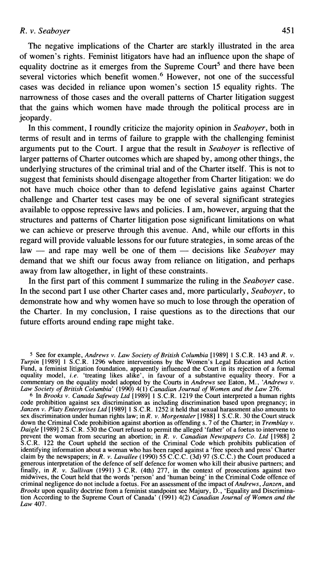The negative implications of the Charter are starkly illustrated in the area of women's rights. Feminist litigators have had an influence upon the shape of equality doctrine as it emerges from the Supreme Court<sup>5</sup> and there have been several victories which benefit women.<sup>6</sup> However, not one of the successful cases was decided in reliance upon women's section 15 equality rights. The narrowness of those cases and the overall patterns of Charter litigation suggest that the gains which women have made through the political process are in jeopardy.

In this comment, I roundly criticize the majority opinion in *Seaboyer,* both in terms of result and in terms of failure to grapple with the challenging feminist arguments put to the Court. I argue that the result in *Seaboyer* is reflective of larger patterns of Charter outcomes which are shaped by, among other things, the underlying structures of the criminal trial and of the Charter itself. This is not to suggest that feminists should disengage altogether from Charter litigation: we do not have much choice other than to defend legislative gains against Charter challenge and Charter test cases may be one of several significant strategies available to oppose repressive laws and policies. I am, however, arguing that the structures and patterns of Charter litigation pose significant limitations on what we can achieve or preserve through this avenue. And, while our efforts in this regard will provide valuable lessons for our future strategies, in some areas of the we can achieve or preserve through this avenue. And, while our efforts in this regard will provide valuable lessons for our future strategies, in some areas of the law — and rape may well be one of them — decisions like *S* demand that we shift our focus away from reliance on litigation, and perhaps away from law altogether, in light of these constraints.

In the first part of this comment I summarize the ruling in the *Seaboyer* case. In the second part I use other Charter cases and, more particularly, *Seaboyer,* to demonstrate how and why women have so much to lose through the operation of the Charter. In my conclusion, I raise questions as to the directions that our future efforts around ending rape might take.

**<sup>5</sup>**See for example, *Andrews v. Law Society of British Columbia* [I9891 1 S.C.R. 143 and R. v. *Turpin* [1989] 1 S.C.R. 1296 where interventions by the Women's Legal Education and Action Fund, a feminist litigation foundation, apparently influenced the Court in its rejection of a formal equality model, *i.e.* 'treating likes alike', in favour of a substantive equality theory. For a commentary on the equality model adopted by the Courts in *Andrews* see Eaton, *M., 'Andrews* v. *Law Society of British Columbia'* (1990) 4(1) *Canadian Journal of Women and the Law* 276.

*<sup>6</sup>* In *Brooks v. Canada Safeway Ltd* [I9891 1 S.C.R. 1219 the Court interpreted a human rights code prohibition against sex discrimination as including discrimination based upon pregnancy; in Janzen v. Platy Enterprises Ltd [1989] 1 S.C.R. 1252 it held that sexual harassment also amounts to sex discrimination under down the Criminal Code prohibition against abortion as offending s. 7 of the Charter; in *Tremblay v. Daigle* [I9891 2 S.C.R. 530 the Court refused to permit the alleged 'father' of a foetus to intervene to prevent the woman from securing an abortion; in R. *v. Canadian Newspapers Co. Ltd* [I9881 **2**  S.C.R. 122 the Court upheld the section of the Criminal Code which prohibits publication of identifying information about a woman who has been raped against a 'free speech and press' Charter claim by the newspapers; in R. v. *Lavallee* (1990) 55 C.C.C. (3d) 97 (S.C.C.) the Court produced a generous interpretation of the defence of self defence for women who kill their abusive partners; and finally, in R. *v. Sullivan* (1991) 3 C.R. (4th) 277, in the context of prosecutions against two midwives, the Court held that the words 'person' and 'human being' in the Criminal Code offence of criminal negligence do not include a foetus. For an assessment of the impact of *Andrews, Janzen,* and *Brooks* upon equality doctrine from a feminist standpoint see Majury, D., 'Equality and Discrimination According to the Supreme Court of Canada' (1991) 4(2) *Canadian Journal of Women and the Law* 407.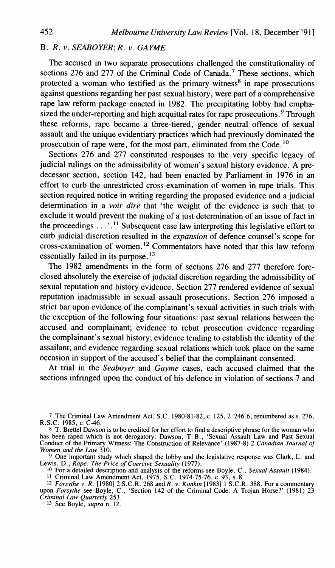## B. R. *v.* SEABOYER; *R. v. GAYME*

The accused in two separate prosecutions challenged the constitutionality of sections 276 and 277 of the Criminal Code of Canada.<sup>7</sup> These sections, which protected a woman who testified as the primary witness<sup>8</sup> in rape prosecutions against questions regarding her past sexual history, were part of a comprehensive rape law reform package enacted in 1982. The precipitating lobby had emphasized the under-reporting and high acquittal rates for rape prosecutions.<sup>9</sup> Through these reforms, rape became a three-tiered, gender neutral offence of sexual assault and the unique evidentiary practices which had previously dominated the prosecution of rape were, for the most part, eliminated from the Code.<sup>10</sup>

Sections 276 and 277 constituted responses to the very specific legacy of judicial rulings on the admissibility of women's sexual history evidence. A predecessor section, section 142, had been enacted by Parliament in 1976 in an effort to curb the unrestricted cross-examination of women in rape trials. This section required notice in writing regarding the proposed evidence and a judicial determination in a *voir dire* that 'the weight of the evidence is such that to exclude it would prevent the making of a just determination of an issue of fact in the proceedings . . . . <sup>11</sup> Subsequent case law interpreting this legislative effort to curb judicial discretion resulted in the *expansion* of defence counsel's scope for cross-examination of women. **l2** Commentators have noted that this law reform essentially failed in its purpose. **l3** 

The 1982 amendments in the form of sections 276 and 277 therefore foreclosed absolutely the exercise of judicial discretion regarding the admissibility of sexual reputation and history evidence. Section 277 rendered evidence of sexual reputation inadmissible in sexual assault prosecutions. Section 276 imposed a strict bar upon evidence of the complainant's sexual activities in such trials with the exception of the following four situations: past sexual relations between the accused and complainant; evidence to rebut prosecution evidence regarding the complainant's sexual history; evidence tending to establish the identity of the assailant; and evidence regarding sexual relations which took place on the same occasion in support of the accused's belief that the complainant consented.

At trial in the *Seaboyer* and *Gayme* cases, each accused claimed that the sections infringed upon the conduct of his defence in violation of sections 7 and

**7 The Criminal Law Amendment Act, S.C. 1980-81-82, c. 125,2.246.6, renumbered as s. 276, R.S.C. 1985, C. C-46.** 

? **One important study which shaped the lobby and the legislative response was Clark, L. and Lewis, D.,** *Rape: The Price of Coercive Sexuality* **(1977).** 

**10 For a detailed description and analysis of the reforms see Boyle, C.,** *Sexual Assault* **(1984).** 

<sup>11</sup> Criminal Law Amendment Act, 1975, S.C. 1974-75-76, c. 93, s. 8.<br><sup>12</sup> *Forsythe v. R.* [1980] 2 S.C.R. 268 and *R. v. Konkin* [1983] 1 S.C.R. 388. For a commentary upon *Forsythe* see Boyle, C., 'Section 142 of the Cr *Criminal Law Quarterly* **253.** 

**13 See Boyle,** *supra* **n. 12.** 

<sup>8</sup> T. Brettel Dawson is to be credited for her effort to find a descriptive phrase for the woman who **has been raped which is not derogatory: Dawson, T. B., 'Sexual Assault Law and Past Sexual Conduct of the Primary Witness: The Construction of Relevance' (1987-8) 2** *Canadian Journal of Women and the Law* **310.**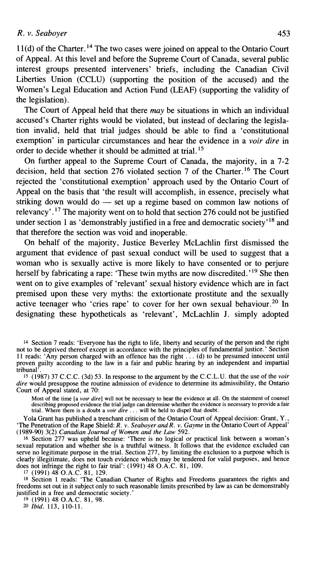$11(d)$  of the Charter.<sup>14</sup> The two cases were joined on appeal to the Ontario Court of Appeal. At this level and before the Supreme Court of Canada, several public interest groups presented interveners' briefs, including the Canadian Civil Liberties Union (CCLU) (supporting the position of the accused) and the Women's Legal Education and Action Fund (LEAF) (supporting the validity of the legislation).

The Court of Appeal held that there *may* be situations in which an individual accused's Charter rights would be violated, but instead of declaring the legislation invalid, held that trial judges should be able to find a 'constitutional exemption' in particular circumstances and hear the evidence in a *voir dire* in order to decide whether it should be admitted at trial. **l5** 

On further appeal to the Supreme Court of Canada, the majority, in a *7-2*  decision, held that section *276* violated section *7* of the charter.16 The Court rejected the 'constitutional exemption' approach used by the Ontario Court of Appeal on the basis that 'the result will accomplish, in essence, precisely what rejected the 'constitutional exemption' approach used by the Ontario Court of Appeal on the basis that 'the result will accomplish, in essence, precisely what striking down would do — set up a regime based on common law no relevancy'.<sup>17</sup> The majority went on to hold that section 276 could not be justified under section 1 as 'demonstrably justified in a free and democratic society<sup> $18$ </sup> and that therefore the section was void and inoperable.

On behalf of the majority, Justice Beverley McLachlin first dismissed the argument that evidence of past sexual conduct will be used to suggest that a woman who is sexually active is more likely to have consented or to perjure herself by fabricating a rape: 'These twin myths are now discredited.'<sup>19</sup> She then went on to give examples of 'relevant' sexual history evidence which are in fact premised upon these very myths: the extortionate prostitute and the sexually active teenager who 'cries rape' to cover for her own sexual behaviour.<sup>20</sup> In designating these hypotheticals as 'relevant', McLachlin J. simply adopted

Most of the time [a *voir dire*] will not be necessary to hear the evidence at all. On the statement of counsel<br>describing proposed evidence the trial judge can determine whether the evidence is necessary to provide a fair trial. Where there is a doubt a *voir dire* ... will be held to dispel that doubt.

Yola Grant has published a trenchant criticism of the Ontario Court of Appeal decision: Grant, Y., 'The Penetration of the Rape Shield: R. *v. Seaboyer andR. v. Gayme* in the Ontario Court of Appeal' (1989-90) 3(2) *Canadian Journal of Women and the* **Law** 592.

<sup>16</sup> Section 277 was upheld because: 'There is no logical or practical link between a woman's sexual reputation and whether she is a truthful witness. It follows that the evidence excluded can serve no legitimate purpose in the trial. Section 277, by limiting the exclusion to a purpose which is clearly illegitimate, does not touch evidence which may be tendered for valid purposes, and hence<br>does not infringe the right to fair trial: (1991) 48 O.A.C. 81, 109.

does not infringe the right to fair trial': (1991) 48 O.A.C. 81, 109.<br><sup>17</sup> (1991) 48 O.A.C. 81, 129. **18** Section 1 reads: 'The Canadian Charter of Rights and Freedoms guarantees the rights and freedoms set out in it subject only to such reasonable limits prescribed by law as can be demonstrably justified in a free and democratic society.'

19 (1991) 48 O.A.C. 81, 98.

20 *Ibid.* 113, 110-11.

<sup>14</sup> Section 7 reads: 'Everyone has the right to life, liberty and security of the person and the right not to be deprived thereof except in accordance with the principles of fundamental justice.' Section 11 reads: 'Any person charged with an offence has the right . . . (d) to be presumed innocent until proven guilty according to the law in a fair and public hearing by an independent and impartial tribunal'.

**<sup>15</sup>**(1987) 37 C.C.C. (3d) 53. In response to the argument by the C.C.L.U. that the use of the *voir dire* would presuppose the routine admission of evidence to determine its admissibility, the Ontario Court of Appeal stated, at 70: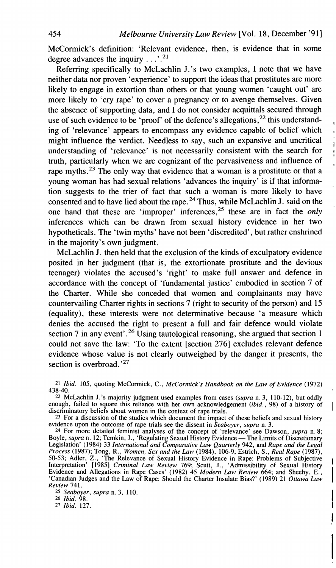McCormick's definition: 'Relevant evidence, then, is evidence that in some degree advances the inquiry  $\dots$  <sup>21</sup>

Referring specifically to McLachlin J.'s two examples, I note that we have neither data nor proven 'experience' to support the ideas that prostitutes are more likely to engage in extortion than others or that young women 'caught out' are more likely to 'cry rape' to cover a pregnancy or to avenge themselves. Given the absence of supporting data, and I do not consider acquittals secured through use of such evidence to be 'proof' of the defence's allegations,<sup>22</sup> this understanding of 'relevance' appears to encompass any evidence capable of belief which might influence the verdict. Needless to say, such an expansive and uncritical understanding of 'relevance' is not necessarily consistent with the search for truth, particularly when we are cognizant of the pervasiveness and influence of rape myths.<sup>23</sup> The only way that evidence that a woman is a prostitute or that a young woman has had sexual relations 'advances the inquiry' is if that information suggests to the trier of fact that such a woman is more likely to have consented and to have lied about the rape.24 Thus, while McLachlin J. said on the one hand that these are 'improper' inferences,<sup>25</sup> these are in fact the *only* inferences which can be drawn from sexual history evidence in her two hypotheticals. The 'twin myths' have not been 'discredited', but rather enshrined in the majority's own judgment.

McLachlin J. then held that the exclusion of the kinds of exculpatory evidence posited in her judgment (that is, the extortionate prostitute and the devious teenager) violates the accused's 'right' to make full answer and defence in accordance with the concept of 'fundamental justice' embodied in section 7 of the Charter. While she conceded that women and complainants may have countervailing Charter rights in sections 7 (right to security of the person) and 15 (equality), these interests were not determinative because 'a measure which denies the accused the right to present a full and fair defence would violate section 7 in any event'.<sup>26</sup> Using tautological reasoning, she argued that section 1 could not save the law: 'To the extent [section **2761** excludes relevant defence evidence whose value is not clearly outweighed by the danger it presents, the section is overbroad.<sup>27</sup>

**21** *Ibid.* 105, quoting McConnick, C., *McCormick's Handbook on the Law of Evidence* (1972) 438-40.

*<sup>22</sup>*McLachlin J.'s majority judgment used examples from cases *(supra* n. 3, 110-12), but oddly enough, failed to square this reliance with her own acknowledgement *(ibid., 98)* of a history of discriminatory beliefs about women in the context of rape trials.

**23** For a discussion of the studies which document the impact of these beliefs and sexual history

evidence upon the outcome of rape trials see the dissent in *Seaboyer*, supra n. 3.<br><sup>24</sup> For more detailed feminist analyses of the concept of 'relevance' see Dawson, supra n. 8;<br>Boyle, supra n. 12; Temkin, J., 'Regulating 'Canadian Judges and the Law of Rape: Should the Charter Insulate Bias?' (1989) 21 *Ottawa Law Review* 741.

I

i **I** 

**<sup>25</sup>***Seaboyer, supra* n. 3, 110.

*26 Ibid.* 98.

**27** *Ibid.* 127.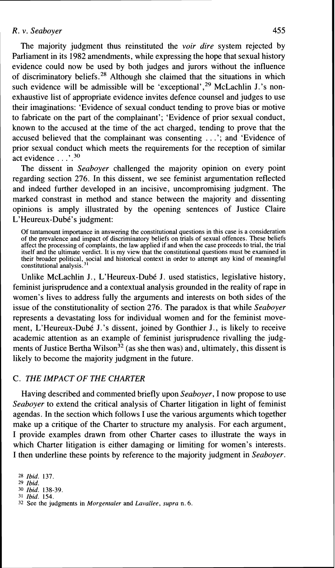The majority judgment thus reinstituted the *voir dire* system rejected by Parliament in its 1982 amendments, while expressing the hope that sexual history evidence could now be used by both judges and jurors without the influence of discriminatory beliefs.28 Although she claimed that the situations in which such evidence will be admissible will be 'exceptional',  $29$  McLachlin J, 's nonexhaustive list of appropriate evidence invites defence counsel and judges to use their imaginations: 'Evidence of sexual conduct tending to prove bias or motive to fabricate on the part of the complainant'; 'Evidence of prior sexual conduct, known to the accused at the time of the act charged, tending to prove that the accused believed that the complainant was consenting . . .'; and 'Evidence of prior sexual conduct which meets the requirements for the reception of similar act evidence . . . ' . **<sup>30</sup>**

The dissent in *Seaboyer* challenged the majority opinion on every point regarding section 276. In this dissent, we see feminist argumentation reflected and indeed further developed in an incisive, uncompromising judgment. The marked constrast in method and stance between the majority and dissenting opinions is amply illustrated by the opening sentences of Justice Claire L'Heureux-Dubé's judgment:

Of tantamount importance in answering the constitutional questions in this case is a consideration of the prevalence and impact of discriminatory beliefs on trials of sexual offences. These beliefs affect the processing of complaints, the law applied if and when the case proceeds to trial, the trial itself and the ultimate verdict. It is my view that the constitutional questions must be examined in their broader political, social and historical context in order to attempt any kind of meaningful constitutional analysis.

Unlike McLachlin J., L'Heureux-Dube J. used statistics, legislative history, feminist jurisprudence and a contextual analysis grounded in the reality of rape in women's lives to address fully the arguments and interests on both sides of the issue of the constitutionality of section 276. The paradox is that while *Seaboyer*  represents a devastating loss for individual women and for the feminist movement, L'Heureux-Dubé J.'s dissent, joined by Gonthier J., is likely to receive academic attention as an example of feminist jurisprudence rivalling the judgments of Justice Bertha Wilson<sup>32</sup> (as she then was) and, ultimately, this dissent is likely to become the majority judgment in the future.

### C. *THE IMPACT* OF *THE CHARTER*

Having described and commented briefly upon *Seaboyer,* I now propose to use *Seaboyer* to extend the critical analysis of Charter litigation in light of feminist agendas. In the section which follows I use the various arguments which together make up a critique of the Charter to structure my analysis. For each argument, I provide examples drawn from other Charter cases to illustrate the ways in which Charter litigation is either damaging or limiting for women's interests. I then underline these points by reference to the majority judgment in *Seaboyer.* 

**28** *Ibid.* 137.

**29** *Ibid.* 

**<sup>30</sup>***Ibid.* 138-39. 31 *Ibid.* 154.

32 See the judgments in *Morgenraler* and *Lavallee, supra* n. *6.*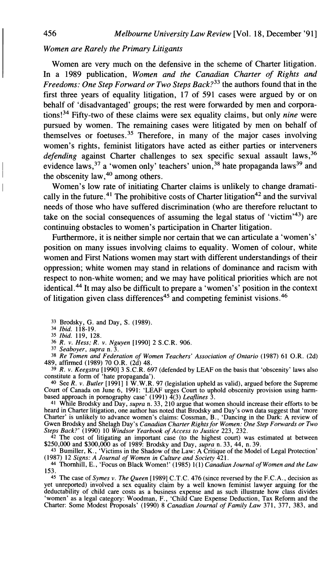## *Women are Rarely the Primary Litigants*

Women are very much on the defensive in the scheme of Charter litigation. In a 1989 publication, *Women and the Canadian Charter of Rights and Freedoms: One Step Forward or Two Steps Back*?<sup>33</sup> the authors found that in the first three years of equality litigation, 17 of 591 cases were argued by or on behalf of 'disadvantaged' groups; the rest were forwarded by men and corporations!<sup>34</sup> Fifty-two of these claims were sex equality claims, but only *nine* were pursued by women. The remaining cases were litigated by men on behalf of themselves or foetuses.35 Therefore, in many of the major cases involving women's rights, feminist litigators have acted as either parties or interveners *defending* against Charter challenges to sex specific sexual assault laws,<sup>36</sup> evidence laws,  $37$  a 'women only' teachers' union,  $38$  hate propaganda laws  $39$  and the obscenity  $law<sup>40</sup>$  among others.

Women's low rate of initiating Charter claims is unlikely to change dramatically in the future.<sup>41</sup> The prohibitive costs of Charter litigation<sup>42</sup> and the survival needs of those who have suffered discrimination (who are therefore reluctant to take on the social consequences of assuming the legal status of 'victim'<sup>43</sup>) are continuing obstacles to women's participation in Charter litigation.

Furthermore, it is neither simple nor certain that we can articulate a 'women's' position on many issues involving claims to equality. Women of colour, white women and First Nations women may start with different understandings of their oppression; white women may stand in relations of dominance and racism with respect to non-white women; and we may have political priorities which are not identical.<sup>44</sup> It may also be difficult to prepare a 'women's' position in the context of litigation given class differences<sup>45</sup> and competing feminist visions.<sup>46</sup>

**33** Brodsky, **G.** and Day, S. (1989). **34** *Ibid.* 118-19.

**35** *Ibid.* 119, 128.

**36** *R. v. Hess; R. v. Nguyen* [I9901 **2** S.C.R. 906

**37** *Seabover. suura* n. 3.

38 *Re Tomen and Federation of Women Teachers' Association of Ontario* (1987) 61 O.R. (2d) 489, affirmed (1989) 70 O.R. (2d) 48.

**39** *R. v. Keegstra* [I9901 3 S.C.R. 697 (defended by LEAF on the basis that 'obscenity' laws also constitute a form of 'hate propaganda').

<sup>40</sup> See R. v. Butler [1991] 1 W.W.R. 97 (legislation upheld as valid), argued before the Supreme Court of Canada on June 6, 1991: 'LEAF urges Court to uphold obscenity provision using harm-<br>based approach in pornography

heard in Charter litigation, one author has noted that Brodsky and Day's own data suggest that 'more<br>Charter' is unlikely to advance women's claims: Cossman, B., 'Dancing in the Dark: A review of<br>Gwen Brodsky and Shelagh D

<sup>42</sup> The cost of litigating an important case (to the highest court) was estimated at between \$250,000 and \$300,000 as of 1989: Brodsky and Day, *supra* n. 33, 44, n. 39.<br><sup>43</sup> Bumiller, K., 'Victims in the Shadow of the L

*153* 

**45** The case of *Symes v. The Queen* [I9891 C.T.C. 476 (since reversed by the F.C.A., decision as yet unreported) involved a sex equality claim by a well known feminist lawyer arguing for the deductability of child care costs as a business expense and as such illustrate how class divides 'women' as a legal category: Woodman, F., 'Child Care Expense Deduction, Tax Reform and the<br>Charter: Some Modest Proposals' (1990) 8 *Canadian Journal of Family Law* 371, 377, 383, and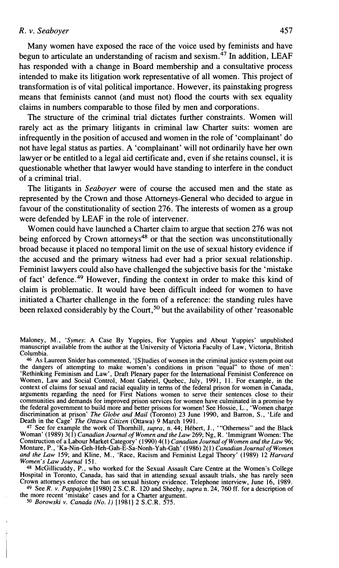Many women have exposed the race of the voice used by feminists and have begun to articulate an understanding of racism and sexism.47 In addition, LEAF has responded with a change in Board membership and a consultative process intended to make its litigation work representative of all women. This project of transformation is of vital political importance. However, its painstaking progress means that feminists cannot (and must not) flood the courts with sex equality claims in numbers comparable to those filed by men and corporations.

The structure of the criminal trial dictates further constraints. Women will rarely act as the primary litigants in criminal law Charter suits: women are infrequently in the position of accused and women in the role of 'complainant' do not have legal status as parties. A 'complainant' will not ordinarily have her own lawyer or be entitled to a legal aid certificate and, even if she retains counsel, it is questionable whether that lawyer would have standing to interfere in the conduct of a criminal trial.

The litigants in *Seaboyer* were of course the accused men and the state as represented by the Crown and those Attorneys-General who decided to argue in favour of the constitutionality of section 276. The interests of women as a group were defended by LEAF in the role of intervener.

Women could have launched a Charter claim to argue that section 276 was not being enforced by Crown attorneys<sup>48</sup> or that the section was unconstitutionally broad because it placed no temporal limit on the use of sexual history evidence if the accused and the primary witness had ever had a prior sexual relationship. Feminist lawyers could also have challenged the subjective basis for the 'mistake of fact' defence.49 However, finding the context in order to make this kind of claim is problematic. It would have been difficult indeed for women to have initiated a Charter challenge in the form of a reference: the standing rules have been relaxed considerably by the Court,<sup>50</sup> but the availability of other 'reasonable

**46** AS Laureen Snider has commented, '[Sltudies of women in the criminal justice system point out the dangers of attempting to make women's conditions in prison "equal" to those of men': 'Rethinking Feminism and Law', Draft Plenary paper for the International Feminist Conference on Women, Law and Social Control, Mont Gabriel, Quebec, July, 1991, 11. For example, in the context of claims for sexual and racial equality in terms of the federal prison for women in Canada, arguments regarding the need for First Nations women to serve their sentences close to their communities and demands for improved prison services for women have culminated in a promise by<br>the federal government to build more and better prisons for women! See Hossie, L., 'Women charge<br>discrimination at prison' *The* Death in the Cage' *The Ottawa Citizen* (Ottawa) 9 March 1991.<br><sup>47</sup> See for example the work of Thornhill, *supra*, n. 44; Hébert, J., "Otherness" and the Black

Woman' (1989) 3(1) *Canadian Journal of Women and the Law* 269; Ng, *R.* 'Immigrant Women: The Construction of a Labour Market Category' (1990) 4(1) *Canadian Journal of Women and the Law* 96; Monture, P., 'Ka-Nin-Geh-Heh-Gah-E-Sa-Nonh-Yah-Gah' (1986) 2(1) *Canadian Journal ofwomen and the Law* 159; and Kline, M., 'Race, Racism and Feminist Legal Theory' (1989) 12 *Harvard Women's Law Journal* 151.

**<sup>48</sup>**McGillicuddy, P., who worked for the Sexual Assault Care Centre at the Women's College Hospital in Toronto, Canada, has said that in attending sexual assault trials, she has rarely seen Crown attorneys enforce the ban on sexual history evidence. Telephone interview, June 16, 1989. **49** See R. *v. Pappajohn* I19801 2 S.C.R. 120 and Sheehy, *supra* n. 24,760 ff. for a description of

the more recent 'mistake' cases and for a Charter argument.

**50** *Borowski v. Canada (No. 1)* [I9811 2 S.C.R. 575.

Maloney, M., *'Symes:* A Case By Yuppies, For Yuppies and About Yuppies' unpublished manuscript available from the author at the University of Victoria Faculty of Law, Victoria, British Columbia.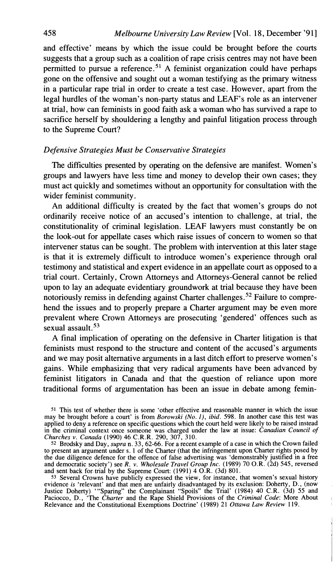and effective' means by which the issue could be brought before the courts suggests that a group such as a coalition of rape crisis centres may not have been permitted to pursue a reference.<sup>51</sup> A feminist organization could have perhaps gone on the offensive and sought out a woman testifying as the primary witness in a particular rape trial in order to create a test case. However, apart from the legal hurdles of the woman's non-party status and LEAF'S role as an intervener at trial, how can feminists in good faith ask a woman who has survived a rape to sacrifice herself by shouldering a lengthy and painful litigation process through to the Supreme Court?

## *Defensive Strategies Must be Conservative Strategies*

The difficulties presented by operating on the defensive are manifest. Women's groups and lawyers have less time and money to develop their own cases; they must act quickly and sometimes without an opportunity for consultation with the wider feminist community.

An additional difficulty is created by the fact that women's groups do not ordinarily receive notice of an accused's intention to challenge, at trial, the constitutionality of criminal legislation. LEAF lawyers must constantly be on the look-out for appellate cases which raise issues of concern to women so that intervener status can be sought. The problem with intervention at this later stage is that it is extremely difficult to introduce women's experience through oral testimony and statistical and expert evidence in an appellate court as opposed to a trial court. Certainly, Crown Attorneys and Attorneys-General cannot be relied upon to lay an adequate evidentiary groundwork at trial because they have been notoriously remiss in defending against Charter challenges.<sup>52</sup> Failure to comprehend the issues and to properly prepare a Charter argument may be even more prevalent where Crown Attorneys are prosecuting 'gendered' offences such as sexual assault.<sup>53</sup>

A final implication of operating on the defensive in Charter litigation is that feminists must respond to the structure and content of the accused's arguments and we may posit alternative arguments in a last ditch effort to preserve women's gains. While emphasizing that very radical arguments have been advanced by feminist litigators in Canada and that the question of reliance upon more traditional forms of argumentation has been an issue in debate among femin-

<sup>&</sup>lt;sup>51</sup> This test of whether there is some 'other effective and reasonable manner in which the issue may be brought before a court' is from *Borowski* (*No. 1*), *ibid.* 598. In another case this test was applied to deny a r in the criminal context once someone was charged under the law at issue: *Canadian Council of Churches v. Canada* (1990) 46 C.R.R. 290, 307, 310.

<sup>&</sup>lt;sup>52</sup> Brodsky and Day, *supra* n. 33, 62-66. For a recent example of a case in which the Crown failed to present an argument under s. 1 of the Charter (that the infringement upon Charter rights posed by the due diligence defence for the offence of false advertising was 'demonstrably justified in a free and democratic society') see *R.* v. *Wholesale Travel Group Inc.* (1989) 70 O.R. (2d) 545, reversed

<sup>53</sup> Several Crowns have publicly expressed the view, for instance, that women's sexual history evidence *is* 'relevant' and that men are unfairly disadvantaged by its exclusion: Doherty, D., (now<br>Justice Doherty) '"Sparing" the Complainant "Spoils" the Trial' (1984) 40 C.R. (3d) 55 and<br>Paciocco, D., 'The *Charter* a Relevance and the Constitutional Exemptions Doctrine' (1989) 21 *Ottawa Law Review* 119.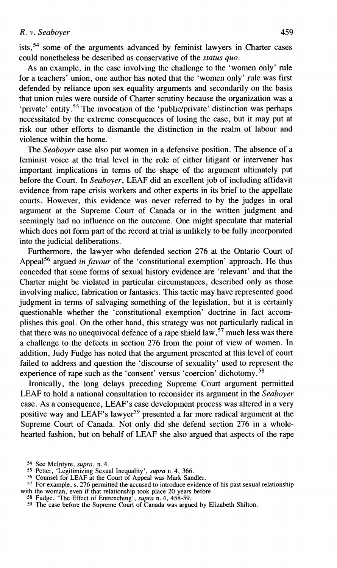ists, $54$  some of the arguments advanced by feminist lawyers in Charter cases could nonetheless be described as conservative of the *status quo.* 

As an example, in the case involving the challenge to the 'women only' rule for a teachers' union, one author has noted that the 'women only' rule was first defended by reliance upon sex equality arguments and secondarily on the basis that union rules were outside of Charter scrutiny because the organization was a 'private' entity.<sup>55</sup> The invocation of the 'public/private' distinction was perhaps necessitated by the extreme consequences of losing the case, but it may put at risk our other efforts to dismantle the distinction in the realm of labour and violence within the home.

The *Seaboyer* case also put women in a defensive position. The absence of a feminist voice at the trial level in the role of either litigant or intervener has important implications in terms of the shape of the argument ultimately put before the Court. In *Seaboyer,* LEAF did an excellent job of including affidavit evidence from rape crisis workers and other experts in its brief to the appellate courts. However, this evidence was never referred to by the judges in oral argument at the Supreme Court of Canada or in the written judgment and seemingly had no influence on the outcome. One might speculate that material which does not form part of the record at trial is unlikely to be fully incorporated into the judicial deliberations.

Furthermore, the lawyer who defended section 276 at the Ontario Court of Appeal<sup>56</sup> argued *in favour* of the 'constitutional exemption' approach. He thus conceded that some forms of sexual history evidence are 'relevant' and that the Charter might be violated in particular circumstances, described only as those involving malice, fabrication or fantasies. This tactic may have represented good judgment in terms of salvaging something of the legislation, but it is certainly questionable whether the 'constitutional exemption' doctrine in fact accomplishes this goal. On the other hand, this strategy was not particularly radical in that there was no unequivocal defence of a rape shield law,  $57$  much less was there a challenge to the defects in section 276 from the point of view of women. In addition, Judy Fudge has noted that the argument presented at this level of court failed to address and question the 'discourse of sexuality' used to represent the experience of rape such as the 'consent' versus 'coercion' dichotomy. ${}^{58}$ 

Ironically, the long delays preceding Supreme Court argument permitted LEAF to hold a national consultation to reconsider its argument in the *Seaboyer*  case. As a consequence, LEAF's case development process was altered in a very positive way and LEAF's lawyer<sup>59</sup> presented a far more radical argument at the Supreme Court of Canada. Not only did she defend section 276 in a wholehearted fashion, but on behalf of LEAF she also argued that aspects of the rape

56 Counsel for LEAF at the Court of Appeal was Mark Sandler.

<sup>54</sup> See McIntyre, *supra,* n. 4.

<sup>55</sup> Petter, 'Legitimizing Sexual Inequality', *supra* n. 4, *366.* 

<sup>57</sup> For example, **s.** 276 permitted the accused to introduce evidence of his past sexual relationship with the woman, even if that relationship took place 20 years before.

<sup>5</sup>s Fudge, 'The Effect of Entrenching', *supra* n. 4, **458-59. 59** The case before the Supreme Court of Canada was argued by Elizabeth Shilton.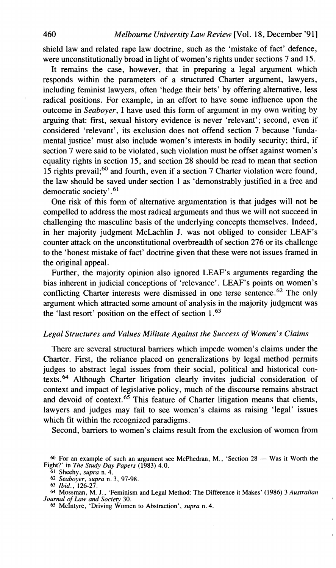shield law and related rape law doctrine, such as the 'mistake of fact' defence, were unconstitutionally broad in light of women's rights under sections **7** and 15.

It remains the case, however, that in preparing a legal argument which responds within the parameters of a structured Charter argument, lawyers, including feminist lawyers, often 'hedge their bets' by offering alternative, less radical positions. For example, in an effort to have some influence upon the outcome in *Seaboyer,* I have used this form of argument in my own writing by arguing that: first, sexual history evidence is never 'relevant'; second, even if considered 'relevant', its exclusion does not offend section **7** because 'fundamental justice' must also include women's interests in bodily security; third, if section 7 were said to be violated, such violation must be offset against women's equality rights in section 15, and section 28 should be read to mean that section 15 rights prevail;<sup>60</sup> and fourth, even if a section 7 Charter violation were found, the law should be saved under section 1 as 'demonstrably justified in a free and democratic society' **.61** 

One risk of this form of alternative argumentation is that judges will not be compelled to address the most radical arguments and thus we will not succeed in challenging the masculine basis of the underlying concepts themselves. Indeed, in her majority judgment McLachlin **J,** was not obliged to consider LEAF's counter attack on the unconstitutional overbreadth of section **276** or its challenge to the 'honest mistake of fact' doctrine given that these were not issues framed in the original appeal.

Further, the majority opinion also ignored LEAF's arguments regarding the bias inherent in judicial conceptions of 'relevance'. LEAF's points on women's conflicting Charter interests were dismissed in one terse sentence.<sup>62</sup> The only argument which attracted some amount of analysis in the majority judgment was the 'last resort' position on the effect of section 1 **.63** 

#### *Legal Structures and Values Militate Against the Success of Women's Claims*

There are several structural barriers which impede women's claims under the Charter. First, the reliance placed on generalizations by legal method permits judges to abstract legal issues from their social, political and historical contexts.<sup>64</sup> Although Charter litigation clearly invites judicial consideration of context and impact of legislative policy, much of the discourse remains abstract and devoid of context. $65$  This feature of Charter litigation means that clients, lawyers and judges may fail to see women's claims as raising 'legal' issues which fit within the recognized paradigms.

Second, barriers to women's claims result from the exclusion of women from

<sup>60</sup> For an example of such an argument see McPhedran, M., 'Section 28 — Was it Worth the **Fight?' in** *The Study Day Papers* **(1983) 4.0.** 

**<sup>61</sup> Sheehv.** *sunra* **n.4.** 

*<sup>62 ~</sup>eaboiir, iupra* **n. 3, 97-98. 63** *Ibid.,* **126-27.** 

**<sup>64</sup>Mossman, M. J., 'Feminism and Leaal Method: The Difference it Makes' (1986) 3** *Australian* - *Journal of Law and Society* **30.** 

**<sup>65</sup> McIntyre, 'Driving Women to Abstraction',** *supra* **n. 4.**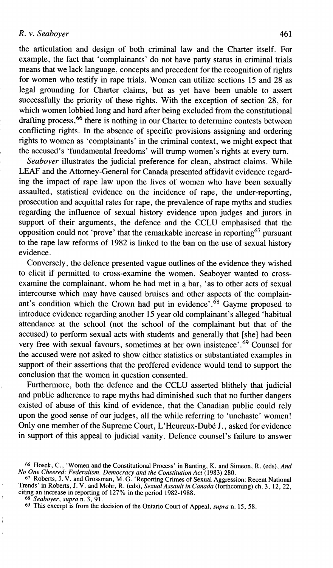the articulation and design of both criminal law and the Charter itself. For example, the fact that 'complainants' do not have party status in criminal trials means that we lack language, concepts and precedent for the recognition of rights for women who testify in rape trials. Women can utilize sections 15 and 28 as legal grounding for Charter claims, but as yet have been unable to assert successfully the priority of these rights. With the exception of section 28, for which women lobbied long and hard after being excluded from the constitutional drafting process, <sup>66</sup> there is nothing in our Charter to determine contests between conflicting rights. In the absence of specific provisions assigning and ordering rights to women as 'complainants' in the criminal context, we might expect that the accused's 'fundamental freedoms' will trump women's rights at every turn.

*Seaboyer* illustrates the judicial preference for clean, abstract claims. While LEAF and the Attorney-General for Canada presented affidavit evidence regarding the impact of rape law upon the lives of women who have been sexually assaulted, statistical evidence on the incidence of rape, the under-reporting, prosecution and acquittal rates for rape, the prevalence of rape myths and studies regarding the influence of sexual history evidence upon judges and jurors in support of their arguments, the defence and the CCLU emphasised that the opposition could not 'prove' that the remarkable increase in reporting  $67$  pursuant to the rape law reforms of 1982 is linked to the ban on the use of sexual history evidence.

Conversely, the defence presented vague outlines of the evidence they wished to elicit if permitted to cross-examine the women. Seaboyer wanted to crossexamine the complainant, whom he had met in a bar, 'as to other acts of sexual intercourse which may have caused bruises and other aspects of the complainant's condition which the Crown had put in evidence'.<sup>68</sup> Gayme proposed to introduce evidence regarding another 15 year old complainant's alleged 'habitual attendance at the school (not the school of the complainant but that of the accused) to perform sexual acts with students and generally that [she] had been very free with sexual favours, sometimes at her own insistence'. $^{69}$  Counsel for the accused were not asked to show either statistics or substantiated examples in support of their assertions that the proffered evidence would tend to support the conclusion that the women in question consented.

Furthermore, both the defence and the CCLU asserted blithely that judicial and public adherence to rape myths had diminished such that no further dangers existed of abuse of this kind of evidence, that the Canadian public could rely upon the good sense of our judges, all the while referring to 'unchaste' women! Only one member of the Supreme Court, L'Heureux-Dubé J., asked for evidence in support of this appeal to judicial vanity. Defence counsel's failure to answer

 $\ddot{i}$ 

*<sup>66</sup>* **Hosek, C., 'Women and the Constitutional Process' in Banting, K. and Simeon, R. (eds),** *And No One Cheered: Federalism, Democracy and the Constitution Act* **(1983) 280.** 

<sup>&</sup>lt;sup>67</sup> Roberts, J. V. and Grossman, M. G. 'Reporting Crimes of Sexual Aggression: Recent National<br>Frends' in Roberts, J. V. and Mohr, R. (eds), *Sexual Assault in Canada* (forthcoming) ch. 3, 12, 22, **citing an increase in reporting of 127% in the period 1982-1988.** 

*<sup>68</sup> Seaboyer, supra* **n.** *3,* **91. 69 This excerpt is from the decision of the Ontario Court of Appeal,** *supra* **n. 15, 58.**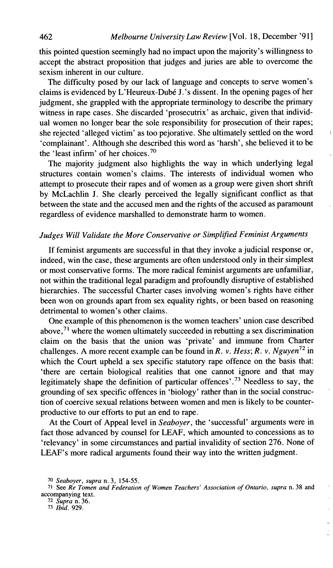this pointed question seemingly had no impact upon the majority's willingness to accept the abstract proposition that judges and juries are able to overcome the sexism inherent in our culture.

The difficulty posed by our lack of language and concepts to serve women's claims is evidenced by L'Heureux-Dubé J.'s dissent. In the opening pages of her judgment, she grappled with the appropriate terminology to describe the primary witness in rape cases. She discarded 'prosecutrix' as archaic, given that individual women no longer bear the sole responsibility for prosecution of their rapes; she rejected 'alleged victim' as too pejorative. She ultimately settled on the word <sup>11</sup> 'complainant'. Although she described this word as 'harsh', she believed it to be the 'least infirm' of her choices. $70$ 

The majority judgment also highlights the way in which underlying legal structures contain women's claims. The interests of individual women who attempt to prosecute their rapes and of women as a group were given short shrift by McLachlin J. She clearly perceived the legally significant conflict as that between the state and the accused men and the rights of the accused as paramount regardless of evidence marshalled to demonstrate harm to women.

## *Judges Will Validate the More Conservative or Simplified Feminist Arguments*

If feminist arguments are successful in that they invoke a judicial response or, indeed, win the case, these arguments are often understood only in their simplest or most conservative forms. The more radical feminist arguments are unfamiliar, not within the traditional legal paradigm and profoundly disruptive of established hierarchies. The successful Charter cases involving women's rights have either been won on grounds apart from sex equality rights, or been based on reasoning detrimental to women's other claims.

One example of this phenomenon is the women teachers' union case described above, $71$  where the women ultimately succeeded in rebutting a sex discrimination claim on the basis that the union was 'private' and immune from Charter challenges. A more recent example can be found in *R. v. Hess*; *R. v. Nguyen*<sup>72</sup> in which the Court upheld a sex specific statutory rape offence on the basis that: 'there are certain biological realities that one cannot ignore and that may legitimately shape the definition of particular offences'.<sup>73</sup> Needless to say, the grounding of sex specific offences in 'biology' rather than in the social construction of coercive sexual relations between women and men is likely to be counterproductive to our efforts to put an end to rape.

At the Court of Appeal level in *Seaboyer,* the 'successful' arguments were in fact those advanced by counsel for LEAF, which amounted to concessions as to 'relevancy' in some circumstances and partial invalidity of section 276. None of LEAF'S more radical arguments found their way into the written judgment.

<sup>70</sup> *Seaboyer, supra n. 3,* **154-55.** 

<sup>71</sup> *See Re Tomen and Federation of Women Teachers' Association* of *Ontario, supra n. 38 and*  **accompanying** *text.* 

<sup>72</sup> *Supra n. 36. 73 Ibid. 929.*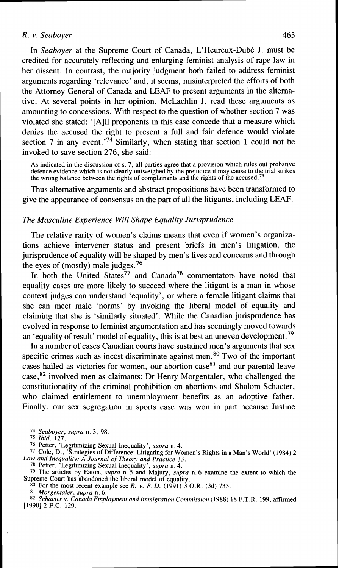In *Seaboyer* at the Supreme Court of Canada, L'Heureux-Dub6 J. must be credited for accurately reflecting and enlarging feminist analysis of rape law in her dissent. In contrast, the majority judgment both failed to address feminist arguments regarding 'relevance' and, it seems, misinterpreted the efforts of both the Attorney-General of Canada and LEAF to present arguments in the alternative. At several points in her opinion, McLachlin J. read these arguments as amounting to concessions. With respect to the question of whether section 7 was violated she stated: '[A111 proponents in this case concede that a measure which denies the accused the right to present a full and fair defence would violate section 7 in any event.<sup>74</sup> Similarly, when stating that section 1 could not be invoked to save section 276, she said:

As indicated in the discussion of s. 7, all parties agree that a provision which rules out probative defence evidence which is not clearly outweighed by the prejudice it may cause to the trial strikes the wrong balance between the rights of complainants and the rights of the accused.<sup>75</sup>

Thus alternative arguments and abstract propositions have been transformed to give the appearance of consensus on the part of all the litigants, including LEAF.

#### *The Masculine Experience Will Shape Equality Jurisprudence*

The relative rarity of women's claims means that even if women's organizations achieve intervener status and present briefs in men's litigation, the jurisprudence of equality will be shaped by men's lives and concerns and through the eyes of (mostly) male judges.<sup>76</sup>

In both the United States<sup>77</sup> and Canada<sup>78</sup> commentators have noted that equality cases are more likely to succeed where the litigant is a man in whose context judges can understand 'equality', or where a female litigant claims that she can meet male 'norms' by invoking the liberal model of equality and claiming that she is 'similarly situated'. While the Canadian jurisprudence has evolved in response to feminist argumentation and has seemingly moved towards an 'equality of result' model of equality, this is at best an uneven development.<sup>79</sup>

In a number of cases Canadian courts have sustained men's arguments that sex specific crimes such as incest discriminate against men.<sup>80</sup> Two of the important cases hailed as victories for women, our abortion case $81$  and our parental leave  $case, <sup>82</sup>$  involved men as claimants: Dr Henry Morgentaler, who challenged the constitutionality of the criminal prohibition on abortions and Shalom Schacter, who claimed entitlement to unemployment benefits as an adoptive father. Finally, our sex segregation in sports case was won in part because Justine

<sup>74</sup>*Seaboyer, supra* n. 3, 98. 75 *Ibid.* 127. 76 Petter, 'Legitimizing Sexual Inequality', *supra* n. 4. 77 Cole, D., 'Strategies of Difference: Litigating for Women's Rights in a Man's World' (1984) 2 *Law and Inequalily: A Journal of Theory and Practice* 33.

**<sup>78</sup>**Petter, 'Legitimizing Sexual Inequality', *supra* n. 4. 79 The articles by Eaton, *supra* n. 5 and Majury, *supra* n. 6 examine the extent to which the Supreme Court has abandoned the liberal model of equality.<br><sup>80</sup> For the most recent example see R. v. F. D. (1991) 3 O.R. (3d) 733.

<sup>80</sup> For the most recent example see R. v. F.D. (1991) 3 O.R. (3d) 733.<br><sup>81</sup> Morgentaler, supra n. 6.<br><sup>82</sup> Schacter v. Canada Employment and Immigration Commission (1988) 18 F.T.R. 199, affirmed [1990] 2 F.C. 129.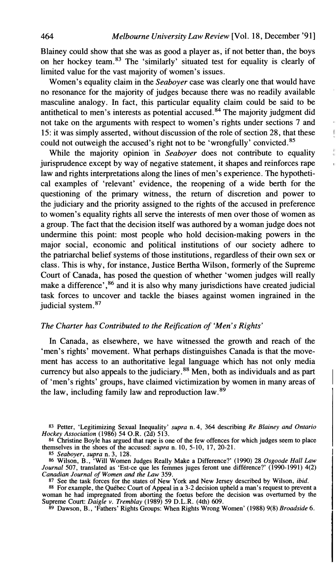Blainey could show that she was as good a player as, if not better than, the boys on her hockey team.83 The 'similarly' situated test for equality is clearly of limited value for the vast majority of women's issues.

Women's equality claim in the *Seaboyer* case was clearly one that would have no resonance for the majority of judges because there was no readily available masculine analogy. In fact, this particular equality claim could be said to be antithetical to men's interests as potential accused.<sup>84</sup> The majority judgment did not take on the arguments with respect to women's rights under sections 7 and 15: it was simply asserted, without discussion of the role of section 28, that these could not outweigh the accused's right not to be 'wrongfully' convicted.<sup>85</sup>

While the majority opinion in *Seaboyer* does not contribute to equality jurisprudence except by way of negative statement, it shapes and reinforces rape law and rights interpretations along the lines of men's experience. The hypothetical examples of 'relevant' evidence, the reopening of a wide berth for the questioning of the primary witness, the return of discretion and power to the judiciary and the priority assigned to the rights of the accused in preference to women's equality rights all serve the interests of men over those of women as a group. The fact that the decision itself was authored by a woman judge does not undermine this point: most people who hold decision-making powers in the major social, economic and political institutions of our society adhere to the patriarchal belief systems of those institutions, regardless of their own sex or class. This is why, for instance, Justice Bertha Wilson, formerly of the Supreme Court of Canada, has posed the question of whether 'women judges **will** really make a difference', $^{86}$  and it is also why many jurisdictions have created judicial task forces to uncover and tackle the biases against women ingrained in the judicial system.<sup>87</sup>

## *The Charter has Contributed to the Reijication of 'Men's Rights'*

In Canada, as elsewhere, we have witnessed the growth and reach of the 'men's rights' movement. What perhaps distinguishes Canada is that the movement has access to an authoritative legal language which has not only media currency but also appeals to the judiciary.<sup>88</sup> Men, both as individuals and as part of 'men's rights' groups, have claimed victimization by women in many areas of the law, including family law and reproduction law.89

**83 Petter, 'Legitimizing Sexual Inequality'** *supra* **n. 4,** *364* **describing** *Re Blainey and Ontario Hockey Association* **(1986) 54 O.R. (2d) 513.** 

**84 Christine Boyle has argued that rape is one of the few offences for which judges seem to place themselves in the shoes of the accused:** *supra* **n. 10, 5-10, 17, 20-21.** 

**85** *Seaboyer, supra* **n.** *3,* **128. <sup>86</sup>Wilson, B., 'Will Women Judges Really Make a Difference?' (1990) 28** *Osgoode Hall Law Journal* **507, translated as 'Est-ce que les femmes juges feront une difference?' (1990-1991) 4(2)** 

Canadian Journal of Women and the Law 359.<br><sup>87</sup> See the task forces for the states of New York and New Jersey described by Wilson, *ibid.*<br><sup>88</sup> For example, the Québec Court of Appeal in a 3-2 decision upheld a man's requ **Supreme Court:** *Daigle v. Tremblay* (1989) 59 D.L.R. (4th) 609. 89 Dawson, B., 'Fathers' Rights Groups: When Rights Wrong Women' (1988) 9(8) *Broadside* 6. <sup>89</sup> Dawson, B., 'Fathers' Rights Groups: When Rights Wrong Wome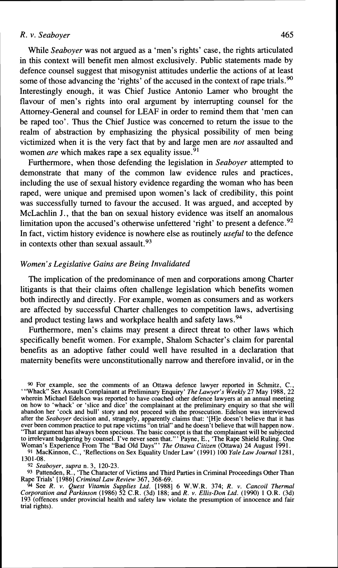While *Seaboyer* was not argued as a 'men's rights' case, the rights articulated in this context will benefit men almost exclusively. Public statements made by defence counsel suggest that misogynist attitudes underlie the actions of at least some of those advancing the 'rights' of the accused in the context of rape trials.<sup>90</sup> Interestingly enough, it was Chief Justice Antonio Lamer who brought the flavour of men's rights into oral argument by interrupting counsel for the Attorney-General and counsel for LEAF in order to remind them that 'men can be raped too'. Thus the Chief Justice was concerned to return the issue to the realm of abstraction by emphasizing the physical possibility of men being victimized when it is the very fact that by and large men are *not* assaulted and women *are* which makes rape a sex equality issue.<sup>91</sup>

Furthermore, when those defending the legislation in *Seaboyer* attempted to demonstrate that many of the common law evidence rules and practices, including the use of sexual history evidence regarding the woman who has been raped, were unique and premised upon women's lack of credibility, this point was successfully turned to favour the accused. It was argued, and accepted by McLachlin J., that the ban on sexual history evidence was itself an anomalous limitation upon the accused's otherwise unfettered 'right' to present a defence.<sup>92</sup> In fact, victim history evidence is nowhere else as routinely *useful* to the defence in contexts other than sexual assault.  $93$ 

## *Women's Legislative Gains are Being Invalidated*

The implication of the predominance of men and corporations among Charter litigants is that their claims often challenge legislation which benefits women both indirectly and directly. For example, women as consumers and as workers are affected by successful Charter challenges to competition laws, advertising and product testing laws and workplace health and safety laws.<sup>94</sup>

Furthermore, men's claims may present a direct threat to other laws which specifically benefit women. For example, Shalom Schacter's claim for parental benefits as an adoptive father could well have resulted in a declaration that maternity benefits were unconstitutionally narrow and therefore invalid, or in the

**90** For example, see the comments of an Ottawa defence lawyer reported in Schmitz, C., "Whack" Sex Assault Complainant at Preliminary Enquiry" *The Lawyer's Weekly* 27 May 1988, 22<br>wherein Michael Edelson was reported to have coached other defence lawyers at an annual meeting<br>on how to "whack" or "slice and after the *Seaboyer* decision and, strangely, apparently claims that: '[H]e doesn't believe that it has ever been common practice to put rape victims "on trial" and he doesn't believe that will happen now. ever been common practice to put rape victims "on trial" and he doesn't believe that will happen now.<br>
"That argument has always been specious. The basic concept is that the complainant will be subjected<br>
to irrelevant ba

 $1301 - 08.$ 

**92** *Seaboyer, supra* n. 3, 120-23. **93** Pattenden, R., 'The Character of Victims and Third Parties in Criminal Proceedings Other Than Rape Trials' [I9861 *Criminal Law Review* 367, 368-69.

<sup>94</sup> See R. v. Quest Vitamin Supplies Ltd. [1988] 6 W.W.R. 374; R. v. Cancoil Thermal Corporation and Parkinson (1986) 52 C.R. (3d) 188; and R. v. Ellis-Don Ltd. (1990) 1 O.R. (3d) 193 (offences under provincial health and safety law violate the presumption of innocence and fair trial rights).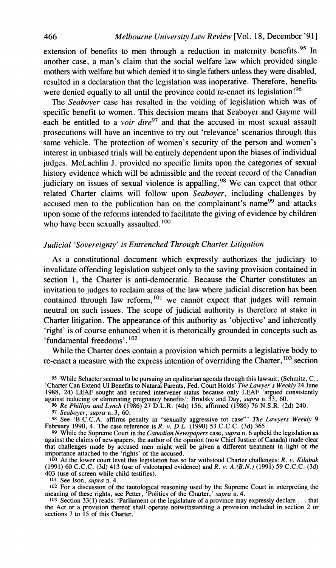extension of benefits to men through a reduction in maternity benefits.<sup>95</sup> In another case, a man's claim that the social welfare law which provided single mothers with welfare but which denied it to single fathers unless they were disabled, resulted in a declaration that the legislation was inoperative. Therefore, benefits were denied equally to all until the province could re-enact its legislation!<sup>96</sup>

The *Seaboyer* case has resulted in the voiding of legislation which was of specific benefit to women. This decision means that Seaboyer and Gayme will each be entitled to a *voir dire9'* and that the accused in most sexual assault prosecutions will have an incentive to try out 'relevance' scenarios through this same vehicle. The protection of women's security of the person and women's interest in unbiased trials will be entirely dependent upon the biases of individual judges. McLachlin J. provided no specific limits upon the categories of sexual history evidence which will be admissible and the recent record of the Canadian judiciary on issues of sexual violence is appalling.<sup>98</sup> We can expect that other related Charter claims will follow upon *Seaboyer,* including challenges by accused men to the publication ban on the complainant's name<sup>99</sup> and attacks upon some of the reforms intended to facilitate the giving of evidence by children who have been sexually assaulted. $100$ 

## *Judicial 'Sovereignty' is Entrenched Through Charter Litigation*

As a constitutional document which expressly authorizes the judiciary to invalidate offending legislation subject only to the saving provision contained in section 1, the Charter is anti-democratic. Because the Charter constitutes an invitation to judges to reclaim areas of the law where judicial discretion has been contained through law reform,<sup>101</sup> we cannot expect that judges will remain neutral on such issues. The scope of judicial authority is therefore at stake in Charter litigation. The appearance of this authority as 'objective' and inherently 'right' is of course enhanced when it is rhetorically grounded in concepts such as 'fundamental freedoms'.<sup>102</sup>

While the Charter does contain a provision which permits a legislative body to re-enact a measure with the express intention of overriding the Charter,  $^{103}$  section

**<sup>95</sup>**While Schacter seemed to be pursuing an egalitarian agenda through this lawsuit, (Schmitz, C., 'Charter Can Extend UI Benefits to Natural Parents, Fed. Court Holds' *The Lawyer's Weekly* 24 June 1988, 24) LEAF sought and secured intervener status because only LEAF 'argued consistently against reducing or eliminating pregnancy benefits': Brodsky and Day, *supra* n. 33, 60.

<sup>96</sup> Re Phillips and Lynch (1986) 27 D.L.R. (4th) 156, affirmed (1986) 76 N.S.R. (2d) 240.<br><sup>97</sup> Seaboyer, supra n. 3, 60.<br><sup>98</sup> See 'B.C.C.A. affirms penalty in "sexually aggressive tot case" *The Lawyers Weekly* 9 February 1990, 4. The case reference is R. *v. D.L.* (1990) 53 C.C.C. (3d) 365.

*99* While the Supreme Court in the *Canadian Newspapers* case, *supra* n. 6 upheld the legislation as against the claims of newspapers, the author of the opinion (now Chief Justice of Canada) made clear that challenges made by accused men might well be given a different treatment in light of the importance attached to the 'rights' of the accused.

**loo** At the lower court level this legislation has so far withstood Charter challenges: *R.* v. *Kilabuk*  (1991) 60 C.C.C. (3d) 413 (use of videotaped evidence) and R. v. *A.(B.N.)* (1991) 59 C.C.C. (3d) 403 (use of screen while child testifies).

**101** See Ison, *supra* n. 4.

102 For a discussion of the tautological reasoning used by the Supreme Court in interpreting the meaning of these rights, see Petter, 'Politics of the Charter,' *supra* n. 4.

103 Section 33(1) reads: 'Parliament or the legislature of a province may expressly declare . . . that the Act or a provision thereof shall operate notwithstanding a provision included in section 2 or sections 7 to 15 of this Charter.'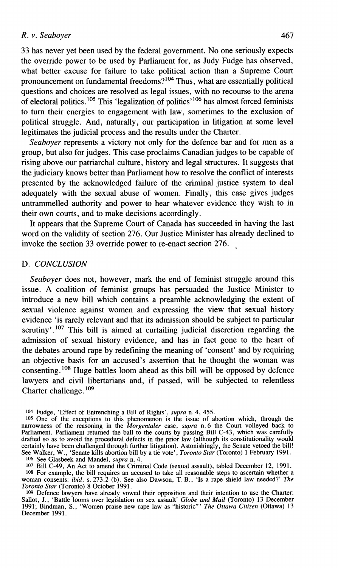**33** has never yet been used by the federal government. No one seriously expects the override power to be used by Parliament for, as Judy Fudge has observed, what better excuse for failure to take political action than a Supreme Court pronouncement on fundamental freedoms? $104$  Thus, what are essentially political questions and choices are resolved as legal issues, with no recourse to the arena of electoral politics.<sup>105</sup> This 'legalization of politics'<sup>106</sup> has almost forced feminists to turn their energies to engagement with law, sometimes to the exclusion of political struggle. And, naturally, our participation in litigation at some level legitimates the judicial process and the results under the Charter.

Seaboyer represents a victory not only for the defence bar and for men as a group, but also for judges. This case proclaims Canadian judges to be capable of rising above our patriarchal culture, history and legal structures. It suggests that the judiciary knows better than Parliament how to resolve the conflict of interests presented by the acknowledged failure of the criminal justice system to deal adequately with the sexual abuse of women. Finally, this case gives judges untrammelled authority and power to hear whatever evidence they wish to in their own courts, and to make decisions accordingly.

It appears that the Supreme Court of Canada has succeeded in having the last word on the validity of section 276. Our Justice Minister has already declined to invoke the section 33 override power to re-enact section 276.

#### D. *CONCLUSION*

*Seaboyer* does not, however, mark the end of feminist struggle around this issue. **A** coalition of feminist groups has persuaded the Justice Minister to introduce a new bill which contains a preamble acknowledging the extent of sexual violence against women and expressing the view that sexual history evidence 'is rarely relevant and that its admission should be subject to particular scrutiny'.<sup>107</sup> This bill is aimed at curtailing judicial discretion regarding the admission of sexual history evidence, and has in fact gone to the heart of the debates around rape by redefining the meaning of 'consent' and by requiring an objective basis for an accused's assertion that he thought the woman was consenting.<sup>108</sup> Huge battles loom ahead as this bill will be opposed by defence lawyers and civil libertarians and, if passed, will be subjected to relentless Charter challenge. Io9

107 Bill C-49, An Act to amend the Criminal Code (sexual assault), tabled December 12, 1991.

<sup>104</sup> Fudge, 'Effect of Entrenching a Bill of Rights', *supra* n. 4, *455.* 

<sup>&</sup>lt;sup>105</sup> One of the exceptions to this phenomenon is the issue of abortion which, through the narrowness of the reasoning in the *Morgentaler* case, *supra* n. 6 the Court volleyed back to Parliament. Parliament returned the See Walker, W., 'Senate kills abortion bill by a tie vote', *Toronto Star* (Toronto) I February 1991. 106 See Glasbeek and Mandel, *supra* n. 4.

<sup>108</sup> For example, the bill requires an accused to take all reasonable steps to ascertain whether a woman consents: *ibid.* s. 273.2 (b). See also Dawson, T. B., 'Is a rape shield law needed?' *The Toronto Star* (Toronto) 8 October 1991.

<sup>109</sup> Defence lawyers have already vowed their opposition and their intention to use the Charter: Sallot, J., 'Battle looms over legislation on sex assault' *Globe and Mail* (Toronto) 13 December 1991; Bindman, S., 'Women praise new rape law as "historic"' *The Ottawa Citizen* (Ottawa) 13 December 1991.